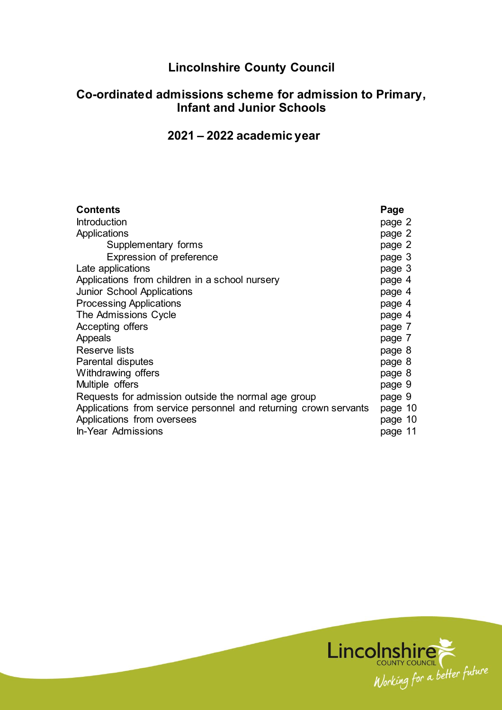# **Lincolnshire County Council**

## **Co-ordinated admissions scheme for admission to Primary, Infant and Junior Schools**

## **2021 – 2022 academic year**

| <b>Contents</b>                                                  | Page    |
|------------------------------------------------------------------|---------|
| <b>Introduction</b>                                              | page 2  |
| Applications                                                     | page 2  |
| Supplementary forms                                              | page 2  |
| Expression of preference                                         | page 3  |
| Late applications                                                | page 3  |
| Applications from children in a school nursery                   | page 4  |
| <b>Junior School Applications</b>                                | page 4  |
| <b>Processing Applications</b>                                   | page 4  |
| The Admissions Cycle                                             | page 4  |
| Accepting offers                                                 | page 7  |
| Appeals                                                          | page 7  |
| Reserve lists                                                    | page 8  |
| Parental disputes                                                | page 8  |
| Withdrawing offers                                               | page 8  |
| Multiple offers                                                  | page 9  |
| Requests for admission outside the normal age group              | page 9  |
| Applications from service personnel and returning crown servants | page 10 |
| Applications from oversees                                       | page 10 |
| <b>In-Year Admissions</b>                                        | page 11 |

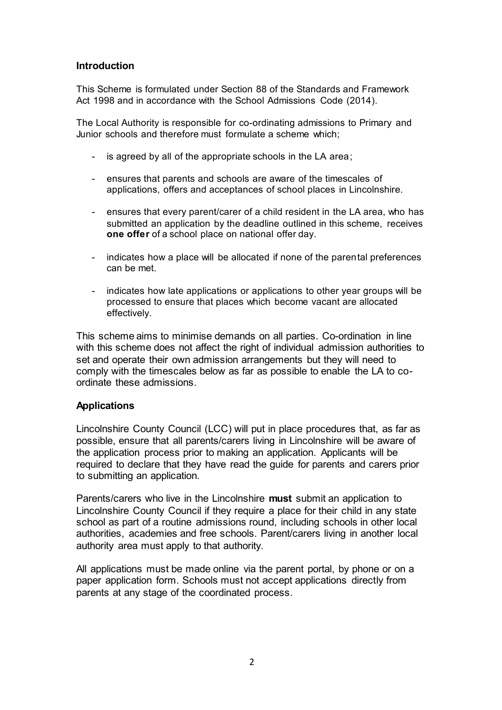#### **Introduction**

This Scheme is formulated under Section 88 of the Standards and Framework Act 1998 and in accordance with the School Admissions Code (2014).

The Local Authority is responsible for co-ordinating admissions to Primary and Junior schools and therefore must formulate a scheme which;

- is agreed by all of the appropriate schools in the LA area;
- ensures that parents and schools are aware of the timescales of applications, offers and acceptances of school places in Lincolnshire.
- ensures that every parent/carer of a child resident in the LA area, who has submitted an application by the deadline outlined in this scheme, receives **one offer** of a school place on national offer day.
- indicates how a place will be allocated if none of the parental preferences can be met.
- indicates how late applications or applications to other year groups will be processed to ensure that places which become vacant are allocated effectively.

This scheme aims to minimise demands on all parties. Co-ordination in line with this scheme does not affect the right of individual admission authorities to set and operate their own admission arrangements but they will need to comply with the timescales below as far as possible to enable the LA to coordinate these admissions.

#### **Applications**

Lincolnshire County Council (LCC) will put in place procedures that, as far as possible, ensure that all parents/carers living in Lincolnshire will be aware of the application process prior to making an application. Applicants will be required to declare that they have read the guide for parents and carers prior to submitting an application.

Parents/carers who live in the Lincolnshire **must** submit an application to Lincolnshire County Council if they require a place for their child in any state school as part of a routine admissions round, including schools in other local authorities, academies and free schools. Parent/carers living in another local authority area must apply to that authority.

All applications must be made online via the parent portal, by phone or on a paper application form. Schools must not accept applications directly from parents at any stage of the coordinated process.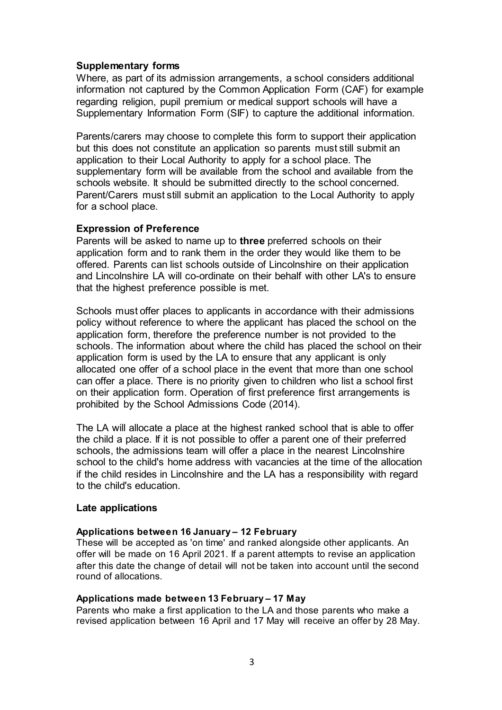#### **Supplementary forms**

Where, as part of its admission arrangements, a school considers additional information not captured by the Common Application Form (CAF) for example regarding religion, pupil premium or medical support schools will have a Supplementary Information Form (SIF) to capture the additional information.

Parents/carers may choose to complete this form to support their application but this does not constitute an application so parents must still submit an application to their Local Authority to apply for a school place. The supplementary form will be available from the school and available from the schools website. It should be submitted directly to the school concerned. Parent/Carers must still submit an application to the Local Authority to apply for a school place.

#### **Expression of Preference**

Parents will be asked to name up to **three** preferred schools on their application form and to rank them in the order they would like them to be offered. Parents can list schools outside of Lincolnshire on their application and Lincolnshire LA will co-ordinate on their behalf with other LA's to ensure that the highest preference possible is met.

Schools must offer places to applicants in accordance with their admissions policy without reference to where the applicant has placed the school on the application form, therefore the preference number is not provided to the schools. The information about where the child has placed the school on their application form is used by the LA to ensure that any applicant is only allocated one offer of a school place in the event that more than one school can offer a place. There is no priority given to children who list a school first on their application form. Operation of first preference first arrangements is prohibited by the School Admissions Code (2014).

The LA will allocate a place at the highest ranked school that is able to offer the child a place. If it is not possible to offer a parent one of their preferred schools, the admissions team will offer a place in the nearest Lincolnshire school to the child's home address with vacancies at the time of the allocation if the child resides in Lincolnshire and the LA has a responsibility with regard to the child's education.

#### **Late applications**

#### **Applications between 16 January – 12 February**

These will be accepted as 'on time' and ranked alongside other applicants. An offer will be made on 16 April 2021. If a parent attempts to revise an application after this date the change of detail will not be taken into account until the second round of allocations.

#### **Applications made between 13 February – 17 May**

Parents who make a first application to the LA and those parents who make a revised application between 16 April and 17 May will receive an offer by 28 May.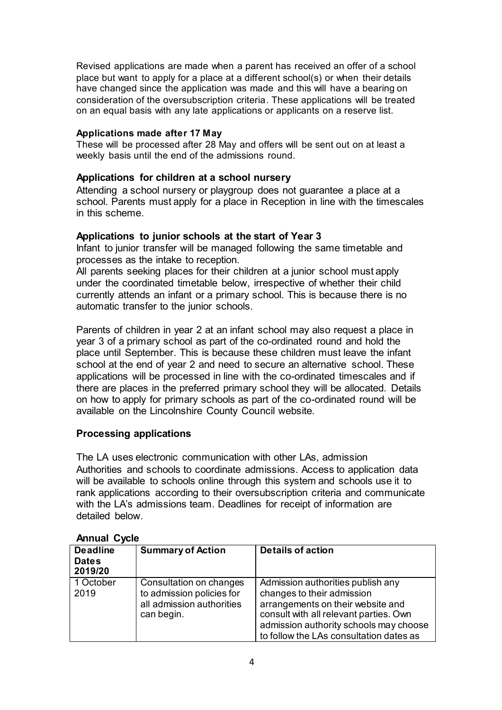Revised applications are made when a parent has received an offer of a school place but want to apply for a place at a different school(s) or when their details have changed since the application was made and this will have a bearing on consideration of the oversubscription criteria. These applications will be treated on an equal basis with any late applications or applicants on a reserve list.

#### **Applications made after 17 May**

These will be processed after 28 May and offers will be sent out on at least a weekly basis until the end of the admissions round.

#### **Applications for children at a school nursery**

Attending a school nursery or playgroup does not guarantee a place at a school. Parents must apply for a place in Reception in line with the timescales in this scheme.

#### **Applications to junior schools at the start of Year 3**

Infant to junior transfer will be managed following the same timetable and processes as the intake to reception.

All parents seeking places for their children at a junior school must apply under the coordinated timetable below, irrespective of whether their child currently attends an infant or a primary school. This is because there is no automatic transfer to the junior schools.

Parents of children in year 2 at an infant school may also request a place in year 3 of a primary school as part of the co-ordinated round and hold the place until September. This is because these children must leave the infant school at the end of year 2 and need to secure an alternative school. These applications will be processed in line with the co-ordinated timescales and if there are places in the preferred primary school they will be allocated. Details on how to apply for primary schools as part of the co-ordinated round will be available on the Lincolnshire County Council website.

## **Processing applications**

The LA uses electronic communication with other LAs, admission Authorities and schools to coordinate admissions. Access to application data will be available to schools online through this system and schools use it to rank applications according to their oversubscription criteria and communicate with the LA's admissions team. Deadlines for receipt of information are detailed below.

| <b>Deadline</b><br><b>Dates</b><br>2019/20 | <b>Summary of Action</b>                                                                        | <b>Details of action</b>                                                                                                                                                                                                            |
|--------------------------------------------|-------------------------------------------------------------------------------------------------|-------------------------------------------------------------------------------------------------------------------------------------------------------------------------------------------------------------------------------------|
| 1 October<br>2019                          | Consultation on changes<br>to admission policies for<br>all admission authorities<br>can begin. | Admission authorities publish any<br>changes to their admission<br>arrangements on their website and<br>consult with all relevant parties. Own<br>admission authority schools may choose<br>to follow the LAs consultation dates as |

#### **Annual Cycle**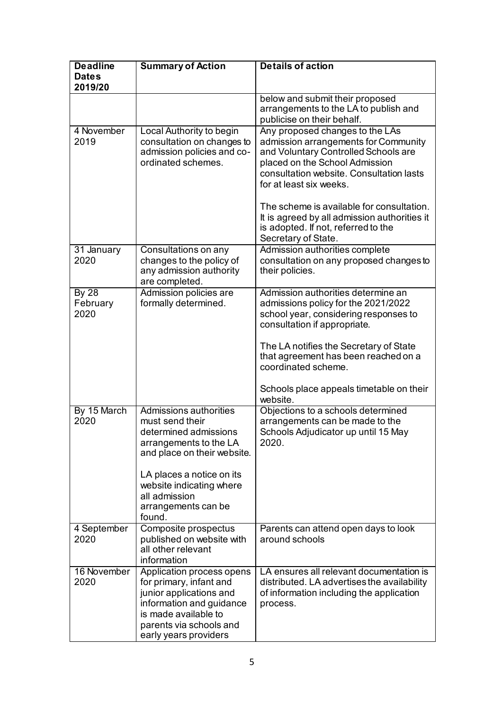| <b>Deadline</b>                  | <b>Summary of Action</b>                                                                                                                                                                                                               | <b>Details of action</b>                                                                                                                                                                                                                                                                                                                                     |
|----------------------------------|----------------------------------------------------------------------------------------------------------------------------------------------------------------------------------------------------------------------------------------|--------------------------------------------------------------------------------------------------------------------------------------------------------------------------------------------------------------------------------------------------------------------------------------------------------------------------------------------------------------|
| <b>Dates</b><br>2019/20          |                                                                                                                                                                                                                                        |                                                                                                                                                                                                                                                                                                                                                              |
|                                  |                                                                                                                                                                                                                                        | below and submit their proposed<br>arrangements to the LA to publish and<br>publicise on their behalf.                                                                                                                                                                                                                                                       |
| 4 November<br>2019               | Local Authority to begin<br>consultation on changes to<br>admission policies and co-<br>ordinated schemes.                                                                                                                             | Any proposed changes to the LAs<br>admission arrangements for Community<br>and Voluntary Controlled Schools are<br>placed on the School Admission<br>consultation website. Consultation lasts<br>for at least six weeks.<br>The scheme is available for consultation.<br>It is agreed by all admission authorities it<br>is adopted. If not, referred to the |
|                                  |                                                                                                                                                                                                                                        | Secretary of State.                                                                                                                                                                                                                                                                                                                                          |
| 31 January<br>2020               | Consultations on any<br>changes to the policy of<br>any admission authority<br>are completed.                                                                                                                                          | Admission authorities complete<br>consultation on any proposed changes to<br>their policies.                                                                                                                                                                                                                                                                 |
| <b>By 28</b><br>February<br>2020 | Admission policies are<br>formally determined.                                                                                                                                                                                         | Admission authorities determine an<br>admissions policy for the 2021/2022<br>school year, considering responses to<br>consultation if appropriate.<br>The LA notifies the Secretary of State<br>that agreement has been reached on a<br>coordinated scheme.<br>Schools place appeals timetable on their<br>website.                                          |
| By 15 March<br>2020              | Admissions authorities<br>must send their<br>determined admissions<br>arrangements to the LA<br>and place on their website.<br>LA places a notice on its<br>website indicating where<br>all admission<br>arrangements can be<br>found. | Objections to a schools determined<br>arrangements can be made to the<br>Schools Adjudicator up until 15 May<br>2020.                                                                                                                                                                                                                                        |
| 4 September<br>2020              | Composite prospectus<br>published on website with<br>all other relevant<br>information                                                                                                                                                 | Parents can attend open days to look<br>around schools                                                                                                                                                                                                                                                                                                       |
| 16 November<br>2020              | Application process opens<br>for primary, infant and<br>junior applications and<br>information and guidance<br>is made available to<br>parents via schools and<br>early years providers                                                | LA ensures all relevant documentation is<br>distributed. LA advertises the availability<br>of information including the application<br>process.                                                                                                                                                                                                              |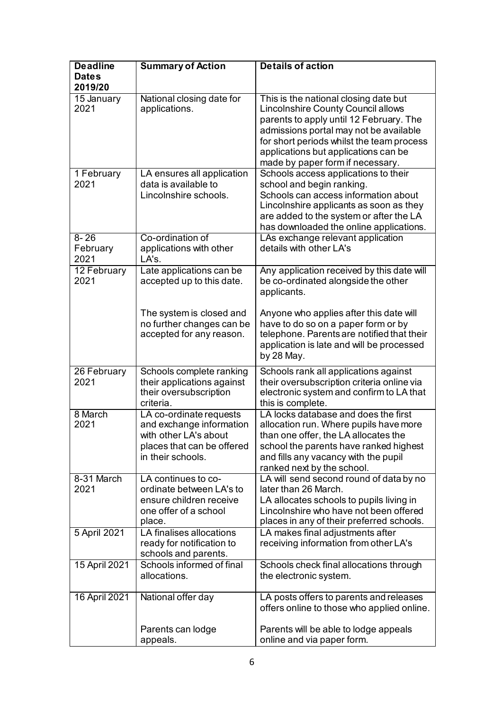| <b>Deadline</b>              | <b>Summary of Action</b>                                                                                                        | <b>Details of action</b>                                                                                                                                                                                                                                                                         |
|------------------------------|---------------------------------------------------------------------------------------------------------------------------------|--------------------------------------------------------------------------------------------------------------------------------------------------------------------------------------------------------------------------------------------------------------------------------------------------|
| <b>Dates</b><br>2019/20      |                                                                                                                                 |                                                                                                                                                                                                                                                                                                  |
| 15 January<br>2021           | National closing date for<br>applications.                                                                                      | This is the national closing date but<br><b>Lincolnshire County Council allows</b><br>parents to apply until 12 February. The<br>admissions portal may not be available<br>for short periods whilst the team process<br>applications but applications can be<br>made by paper form if necessary. |
| 1 February<br>2021           | LA ensures all application<br>data is available to<br>Lincolnshire schools.                                                     | Schools access applications to their<br>school and begin ranking.<br>Schools can access information about<br>Lincolnshire applicants as soon as they<br>are added to the system or after the LA<br>has downloaded the online applications.                                                       |
| $8 - 26$<br>February<br>2021 | Co-ordination of<br>applications with other<br>LA's.                                                                            | LAs exchange relevant application<br>details with other LA's                                                                                                                                                                                                                                     |
| 12 February<br>2021          | Late applications can be<br>accepted up to this date.                                                                           | Any application received by this date will<br>be co-ordinated alongside the other<br>applicants.                                                                                                                                                                                                 |
|                              | The system is closed and<br>no further changes can be<br>accepted for any reason.                                               | Anyone who applies after this date will<br>have to do so on a paper form or by<br>telephone. Parents are notified that their<br>application is late and will be processed<br>by 28 May.                                                                                                          |
| 26 February<br>2021          | Schools complete ranking<br>their applications against<br>their oversubscription<br>criteria.                                   | Schools rank all applications against<br>their oversubscription criteria online via<br>electronic system and confirm to LA that<br>this is complete.                                                                                                                                             |
| 8 March<br>2021              | LA co-ordinate requests<br>and exchange information<br>with other LA's about<br>places that can be offered<br>in their schools. | LA locks database and does the first<br>allocation run. Where pupils have more<br>than one offer, the LA allocates the<br>school the parents have ranked highest<br>and fills any vacancy with the pupil<br>ranked next by the school.                                                           |
| 8-31 March<br>2021           | LA continues to co-<br>ordinate between LA's to<br>ensure children receive<br>one offer of a school<br>place.                   | LA will send second round of data by no<br>later than 26 March.<br>LA allocates schools to pupils living in<br>Lincolnshire who have not been offered<br>places in any of their preferred schools.                                                                                               |
| 5 April 2021                 | LA finalises allocations<br>ready for notification to<br>schools and parents.                                                   | LA makes final adjustments after<br>receiving information from other LA's                                                                                                                                                                                                                        |
| 15 April 2021                | Schools informed of final<br>allocations.                                                                                       | Schools check final allocations through<br>the electronic system.                                                                                                                                                                                                                                |
| 16 April 2021                | National offer day                                                                                                              | LA posts offers to parents and releases<br>offers online to those who applied online.                                                                                                                                                                                                            |
|                              | Parents can lodge<br>appeals.                                                                                                   | Parents will be able to lodge appeals<br>online and via paper form.                                                                                                                                                                                                                              |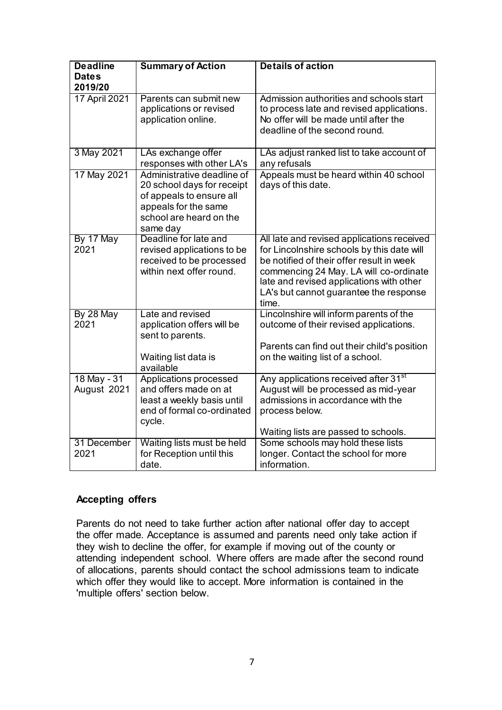| <b>Deadline</b>            | <b>Summary of Action</b>                                                                                                                            | <b>Details of action</b>                                                                                                                                                                                                                                                       |
|----------------------------|-----------------------------------------------------------------------------------------------------------------------------------------------------|--------------------------------------------------------------------------------------------------------------------------------------------------------------------------------------------------------------------------------------------------------------------------------|
| <b>Dates</b>               |                                                                                                                                                     |                                                                                                                                                                                                                                                                                |
| 2019/20                    |                                                                                                                                                     |                                                                                                                                                                                                                                                                                |
| 17 April 2021              | Parents can submit new<br>applications or revised<br>application online.                                                                            | Admission authorities and schools start<br>to process late and revised applications.<br>No offer will be made until after the<br>deadline of the second round.                                                                                                                 |
| 3 May 2021                 | LAs exchange offer<br>responses with other LA's                                                                                                     | LAs adjust ranked list to take account of<br>any refusals                                                                                                                                                                                                                      |
| 17 May 2021                | Administrative deadline of<br>20 school days for receipt<br>of appeals to ensure all<br>appeals for the same<br>school are heard on the<br>same day | Appeals must be heard within 40 school<br>days of this date.                                                                                                                                                                                                                   |
| By 17 May<br>2021          | Deadline for late and<br>revised applications to be<br>received to be processed<br>within next offer round.                                         | All late and revised applications received<br>for Lincolnshire schools by this date will<br>be notified of their offer result in week<br>commencing 24 May. LA will co-ordinate<br>late and revised applications with other<br>LA's but cannot guarantee the response<br>time. |
| By 28 May<br>2021          | Late and revised<br>application offers will be<br>sent to parents.<br>Waiting list data is                                                          | Lincolnshire will inform parents of the<br>outcome of their revised applications.<br>Parents can find out their child's position<br>on the waiting list of a school.                                                                                                           |
|                            | available                                                                                                                                           |                                                                                                                                                                                                                                                                                |
| 18 May - 31<br>August 2021 | Applications processed<br>and offers made on at<br>least a weekly basis until<br>end of formal co-ordinated<br>cycle.                               | Any applications received after 31 <sup>st</sup><br>August will be processed as mid-year<br>admissions in accordance with the<br>process below.                                                                                                                                |
|                            |                                                                                                                                                     | Waiting lists are passed to schools.                                                                                                                                                                                                                                           |
| 31 December<br>2021        | Waiting lists must be held<br>for Reception until this<br>date.                                                                                     | Some schools may hold these lists<br>longer. Contact the school for more<br>information.                                                                                                                                                                                       |

## **Accepting offers**

Parents do not need to take further action after national offer day to accept the offer made. Acceptance is assumed and parents need only take action if they wish to decline the offer, for example if moving out of the county or attending independent school. Where offers are made after the second round of allocations, parents should contact the school admissions team to indicate which offer they would like to accept. More information is contained in the 'multiple offers' section below.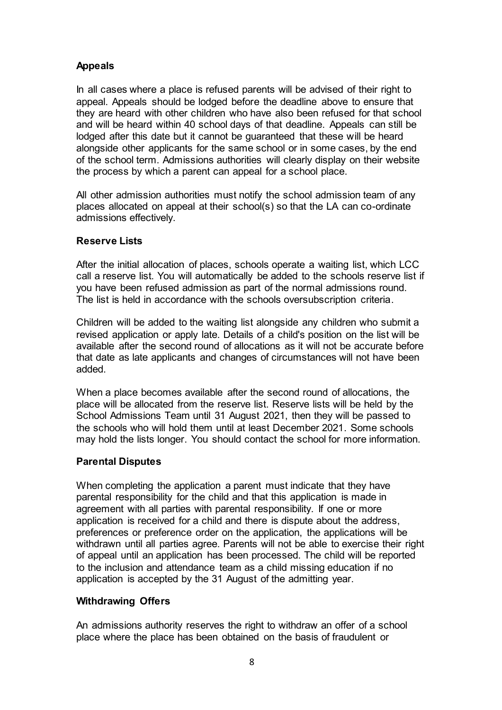## **Appeals**

In all cases where a place is refused parents will be advised of their right to appeal. Appeals should be lodged before the deadline above to ensure that they are heard with other children who have also been refused for that school and will be heard within 40 school days of that deadline. Appeals can still be lodged after this date but it cannot be guaranteed that these will be heard alongside other applicants for the same school or in some cases, by the end of the school term. Admissions authorities will clearly display on their website the process by which a parent can appeal for a school place.

All other admission authorities must notify the school admission team of any places allocated on appeal at their school(s) so that the LA can co-ordinate admissions effectively.

### **Reserve Lists**

After the initial allocation of places, schools operate a waiting list, which LCC call a reserve list. You will automatically be added to the schools reserve list if you have been refused admission as part of the normal admissions round. The list is held in accordance with the schools oversubscription criteria.

Children will be added to the waiting list alongside any children who submit a revised application or apply late. Details of a child's position on the list will be available after the second round of allocations as it will not be accurate before that date as late applicants and changes of circumstances will not have been added.

When a place becomes available after the second round of allocations, the place will be allocated from the reserve list. Reserve lists will be held by the School Admissions Team until 31 August 2021, then they will be passed to the schools who will hold them until at least December 2021. Some schools may hold the lists longer. You should contact the school for more information.

## **Parental Disputes**

When completing the application a parent must indicate that they have parental responsibility for the child and that this application is made in agreement with all parties with parental responsibility. If one or more application is received for a child and there is dispute about the address, preferences or preference order on the application, the applications will be withdrawn until all parties agree. Parents will not be able to exercise their right of appeal until an application has been processed. The child will be reported to the inclusion and attendance team as a child missing education if no application is accepted by the 31 August of the admitting year.

## **Withdrawing Offers**

An admissions authority reserves the right to withdraw an offer of a school place where the place has been obtained on the basis of fraudulent or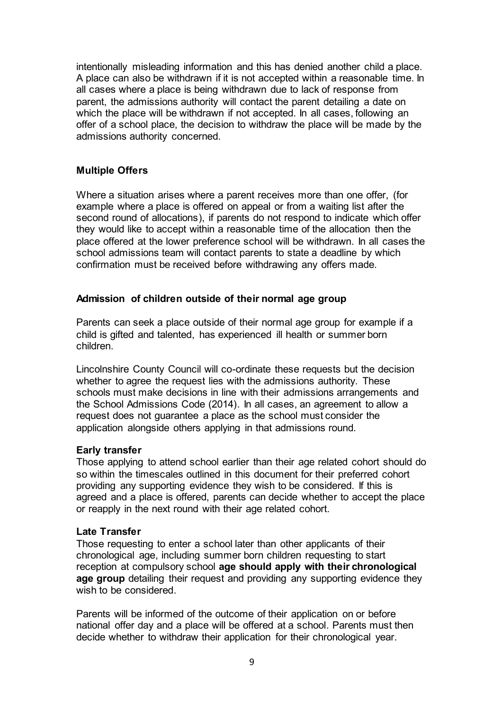intentionally misleading information and this has denied another child a place. A place can also be withdrawn if it is not accepted within a reasonable time. In all cases where a place is being withdrawn due to lack of response from parent, the admissions authority will contact the parent detailing a date on which the place will be withdrawn if not accepted. In all cases, following an offer of a school place, the decision to withdraw the place will be made by the admissions authority concerned.

### **Multiple Offers**

Where a situation arises where a parent receives more than one offer, (for example where a place is offered on appeal or from a waiting list after the second round of allocations), if parents do not respond to indicate which offer they would like to accept within a reasonable time of the allocation then the place offered at the lower preference school will be withdrawn. In all cases the school admissions team will contact parents to state a deadline by which confirmation must be received before withdrawing any offers made.

#### **Admission of children outside of their normal age group**

Parents can seek a place outside of their normal age group for example if a child is gifted and talented, has experienced ill health or summer born children.

Lincolnshire County Council will co-ordinate these requests but the decision whether to agree the request lies with the admissions authority. These schools must make decisions in line with their admissions arrangements and the School Admissions Code (2014). In all cases, an agreement to allow a request does not guarantee a place as the school must consider the application alongside others applying in that admissions round.

#### **Early transfer**

Those applying to attend school earlier than their age related cohort should do so within the timescales outlined in this document for their preferred cohort providing any supporting evidence they wish to be considered. If this is agreed and a place is offered, parents can decide whether to accept the place or reapply in the next round with their age related cohort.

#### **Late Transfer**

Those requesting to enter a school later than other applicants of their chronological age, including summer born children requesting to start reception at compulsory school **age should apply with their chronological age group** detailing their request and providing any supporting evidence they wish to be considered.

Parents will be informed of the outcome of their application on or before national offer day and a place will be offered at a school. Parents must then decide whether to withdraw their application for their chronological year.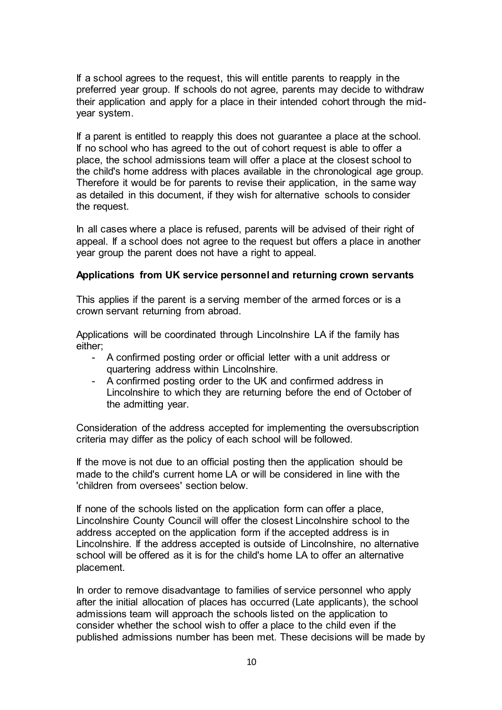If a school agrees to the request, this will entitle parents to reapply in the preferred year group. If schools do not agree, parents may decide to withdraw their application and apply for a place in their intended cohort through the midyear system.

If a parent is entitled to reapply this does not guarantee a place at the school. If no school who has agreed to the out of cohort request is able to offer a place, the school admissions team will offer a place at the closest school to the child's home address with places available in the chronological age group. Therefore it would be for parents to revise their application, in the same way as detailed in this document, if they wish for alternative schools to consider the request.

In all cases where a place is refused, parents will be advised of their right of appeal. If a school does not agree to the request but offers a place in another year group the parent does not have a right to appeal.

#### **Applications from UK service personnel and returning crown servants**

This applies if the parent is a serving member of the armed forces or is a crown servant returning from abroad.

Applications will be coordinated through Lincolnshire LA if the family has either;

- A confirmed posting order or official letter with a unit address or quartering address within Lincolnshire.
- A confirmed posting order to the UK and confirmed address in Lincolnshire to which they are returning before the end of October of the admitting year.

Consideration of the address accepted for implementing the oversubscription criteria may differ as the policy of each school will be followed.

If the move is not due to an official posting then the application should be made to the child's current home LA or will be considered in line with the 'children from oversees' section below.

If none of the schools listed on the application form can offer a place, Lincolnshire County Council will offer the closest Lincolnshire school to the address accepted on the application form if the accepted address is in Lincolnshire. If the address accepted is outside of Lincolnshire, no alternative school will be offered as it is for the child's home LA to offer an alternative placement.

In order to remove disadvantage to families of service personnel who apply after the initial allocation of places has occurred (Late applicants), the school admissions team will approach the schools listed on the application to consider whether the school wish to offer a place to the child even if the published admissions number has been met. These decisions will be made by